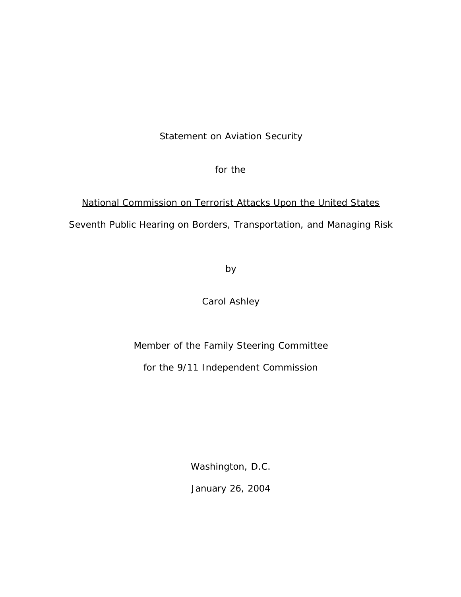# Statement on Aviation Security

for the

# National Commission on Terrorist Attacks Upon the United States Seventh Public Hearing on Borders, Transportation, and Managing Risk

by

Carol Ashley

Member of the Family Steering Committee

for the 9/11 Independent Commission

Washington, D.C.

January 26, 2004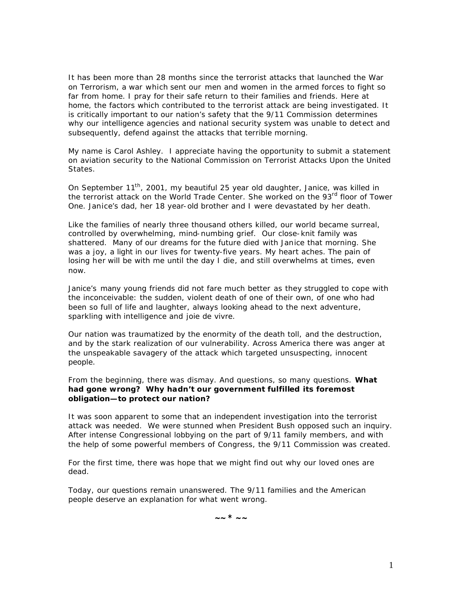It has been more than 28 months since the terrorist attacks that launched the War on Terrorism, a war which sent our men and women in the armed forces to fight so far from home. I pray for their safe return to their families and friends. Here at home, the factors which contributed to the terrorist attack are being investigated. It is critically important to our nation's safety that the 9/11 Commission determines why our intelligence agencies and national security system was unable to detect and subsequently, defend against the attacks that terrible morning.

My name is Carol Ashley. I appreciate having the opportunity to submit a statement on aviation security to the *National Commission on Terrorist Attacks Upon the United States*.

On September 11<sup>th</sup>, 2001, my beautiful 25 year old daughter, Janice, was killed in the terrorist attack on the World Trade Center. She worked on the 93<sup>rd</sup> floor of Tower One. Janice's dad, her 18 year-old brother and I were devastated by her death.

Like the families of nearly three thousand others killed, our world became surreal, controlled by overwhelming, mind-numbing grief. Our close-knit family was shattered. Many of our dreams for the future died with Janice that morning. She was a joy, a light in our lives for twenty-five years. My heart aches. The pain of losing her will be with me until the day I die, and still overwhelms at times, even now.

Janice's many young friends did not fare much better as they struggled to cope with the inconceivable: the sudden, violent death of one of their own, of one who had been so full of life and laughter, always looking ahead to the next adventure, sparkling with intelligence and *joie de vivre*.

Our nation was traumatized by the enormity of the death toll, and the destruction, and by the stark realization of our vulnerability. Across America there was anger at the unspeakable savagery of the attack which targeted unsuspecting, innocent people.

From the beginning, there was dismay. And questions, so many questions. **What had gone wrong? Why hadn't our government fulfilled its foremost obligation—to protect our nation?** 

It was soon apparent to some that an independent investigation into the terrorist attack was needed. We were stunned when President Bush opposed such an inquiry. After intense Congressional lobbying on the part of 9/11 family members, and with the help of some powerful members of Congress, the 9/11 Commission was created.

For the first time, there was hope that we might find out why our loved ones are dead.

Today, our questions remain unanswered. The 9/11 families and the American people deserve an explanation for what went wrong.

**~~ \* ~~**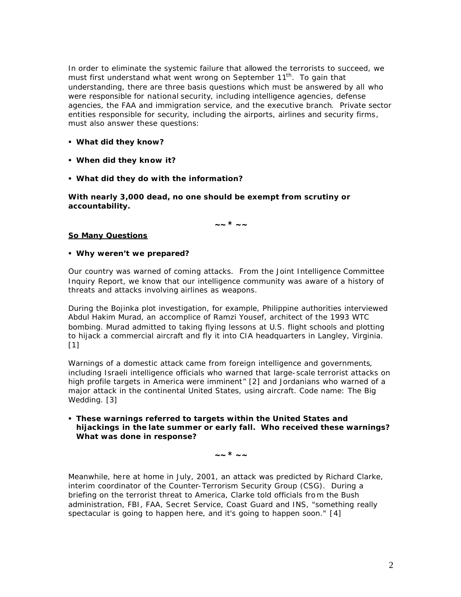In order to eliminate the systemic failure that allowed the terrorists to succeed, we must first understand what went wrong on September 11<sup>th</sup>. To gain that understanding, there are three basis questions which must be answered by all who were responsible for national security, including intelligence agencies, defense agencies, the FAA and immigration service, and the executive branch. Private sector entities responsible for security, including the airports, airlines and security firms, must also answer these questions:

- ß **What did they know?**
- ß **When did they know it?**
- ß **What did they do with the information?**

**With nearly 3,000 dead, no one should be exempt from scrutiny or accountability.**

**~~ \* ~~**

# *So Many Questions*

# ß **Why weren't we prepared?**

Our country was warned of coming attacks. From the Joint Intelligence Committee Inquiry Report, we know that our intelligence community was aware of a history of threats and attacks involving airlines as weapons.

During the Bojinka plot investigation, for example, Philippine authorities interviewed Abdul Hakim Murad, an accomplice of Ramzi Yousef, architect of the 1993 WTC bombing. Murad admitted to taking flying lessons at U.S. flight schools and plotting to hijack a commercial aircraft and fly it into CIA headquarters in Langley, Virginia.  $[1]$ 

Warnings of a domestic attack came from foreign intelligence and governments, including Israeli intelligence officials who warned that large-scale terrorist attacks on high profile targets in America were imminent" [2] and Jordanians who warned of a major attack in the continental United States, using aircraft. Code name: The Big Wedding. [3]

ß **These warnings referred to targets within the United States and hijackings in the late summer or early fall. Who received these warnings? What was done in response?**

**~~ \* ~~**

Meanwhile, here at home in July, 2001, an attack was predicted by Richard Clarke, interim coordinator of the Counter-Terrorism Security Group (CSG). During a briefing on the terrorist threat to America, Clarke told officials from the Bush administration, FBI, FAA, Secret Service, Coast Guard and INS, "something really spectacular is going to happen here, and it's going to happen soon." [4]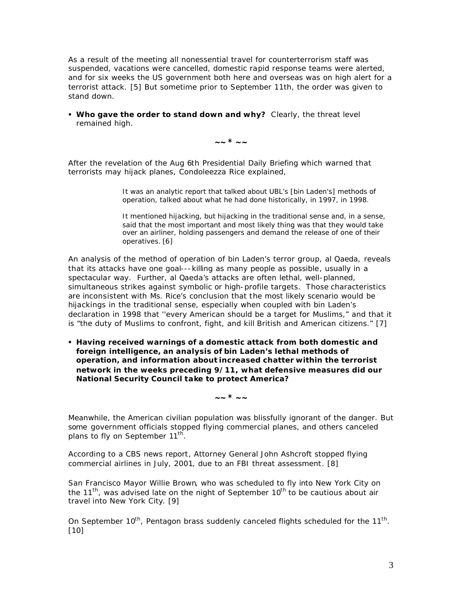As a result of the meeting all nonessential travel for counterterrorism staff was suspended, vacations were cancelled, domestic rapid response teams were alerted, and for six weeks the US government both here and overseas was on high alert for a terrorist attack. [5] But sometime prior to September 11th, the order was given to stand down.

**Who gave the order to stand down and why?** Clearly, the threat level remained high.

**~~ \* ~~**

After the revelation of the Aug 6th Presidential Daily Briefing which warned that terrorists may hijack planes, Condoleezza Rice explained,

> *It was an analytic report that talked about UBL's [bin Laden's] methods of operation, talked about what he had done historically, in 1997, in 1998.*

*It mentioned hijacking, but hijacking in the traditional sense and, in a sense, said that the most important and most likely thing was that they would take over an airliner, holding passengers and demand the release of one of their operatives.* [6]

An analysis of the method of operation of bin Laden's terror group, *al Qaeda,* reveals that its attacks have one goal---killing as many people as possible, usually in a spectacular way. Further, *al Qaeda'*s attacks are often lethal, well-planned, simultaneous strikes against symbolic or high-profile targets. Those characteristics are inconsistent with Ms. Rice's conclusion that the most likely scenario would be hijackings in the traditional sense, especially when coupled with bin Laden's declaration in 1998 that ''every American should be a target for Muslims," and that it is "the duty of Muslims to confront, fight, and kill British and American citizens." [7]

ß **Having received warnings of a domestic attack from both domestic and foreign intelligence, an analysis of bin Laden's lethal methods of operation, and information about increased chatter within the terrorist network in the weeks preceding 9/11, what defensive measures did our National Security Council take to protect America?**

**~~ \* ~~**

Meanwhile, the American civilian population was blissfully ignorant of the danger. But some government officials stopped flying commercial planes, and others canceled plans to fly on September 11<sup>th</sup>.

According to a CBS news report, Attorney General John Ashcroft stopped flying commercial airlines in July, 2001, due to an FBI threat assessment. [8]

San Francisco Mayor Willie Brown, who was scheduled to fly into New York City on the  $11<sup>th</sup>$ , was advised late on the night of September  $10<sup>th</sup>$  to be cautious about air travel into New York City. [9]

On September 10<sup>th</sup>, Pentagon brass suddenly canceled flights scheduled for the 11<sup>th</sup>. [10]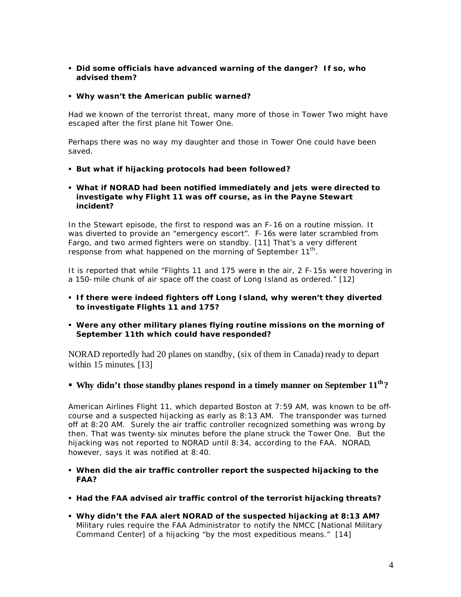ß **Did some officials have advanced warning of the danger? If so, who advised them?** 

# ß **Why wasn't the American public warned?**

Had we known of the terrorist threat, many more of those in Tower Two might have escaped after the first plane hit Tower One.

Perhaps there was no way my daughter and those in Tower One could have been saved.

- ß **But what if hijacking protocols had been followed?**
- ß **What if NORAD had been notified immediately and jets were directed to investigate why Flight 11 was off course, as in the Payne Stewart incident?**

In the Stewart episode, the first to respond was an F-16 on a routine mission. It was diverted to provide an "emergency escort". F-16s were later scrambled from Fargo, and two armed fighters were on standby. [11] That's a very different response from what happened on the morning of September 11<sup>th</sup>.

It is reported that while "Flights 11 and 175 were in the air, 2 F-15s were hovering in a 150-mile chunk of air space off the coast of Long Island as ordered." [12]

- ß **If there were indeed fighters off Long Island, why weren't they diverted to investigate Flights 11 and 175?**
- ß **Were any other military planes flying routine missions on the morning of September 11th which could have responded?**

NORAD reportedly had 20 planes on standby, (six of them in Canada) ready to depart within 15 minutes. [13]

ß **Why didn't those standby planes respond in a timely manner on September 11th?** 

American Airlines Flight 11, which departed Boston at 7:59 AM, was known to be offcourse and a suspected hijacking as early as 8:13 AM. The transponder was turned off at 8:20 AM. Surely the air traffic controller recognized something was wrong by then. That was twenty-six minutes before the plane struck the Tower One. But the hijacking was not reported to NORAD until 8:34, according to the FAA. NORAD, however, says it was notified at 8:40.

- ß **When did the air traffic controller report the suspected hijacking to the FAA?**
- ß **Had the FAA advised air traffic control of the terrorist hijacking threats?**
- ß **Why didn't the FAA alert NORAD of the suspected hijacking at 8:13 AM?**  Military rules require the FAA Administrator to notify the NMCC [National Military Command Center] of a hijacking "by the most expeditious means." [14]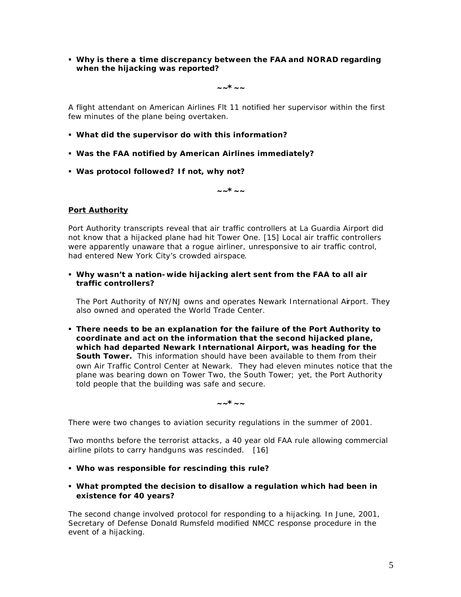ß **Why is there a time discrepancy between the FAA and NORAD regarding when the hijacking was reported?** 

**~~\*~~**

A flight attendant on American Airlines Flt 11 notified her supervisor within the first few minutes of the plane being overtaken.

- ß **What did the supervisor do with this information?**
- ß **Was the FAA notified by American Airlines immediately?**
- ß **Was protocol followed? If not, why not?**

**~~\*~~**

# *Port Authority*

Port Authority transcripts reveal that air traffic controllers at La Guardia Airport did not know that a hijacked plane had hit Tower One. [15] Local air traffic controllers were apparently unaware that a rogue airliner, unresponsive to air traffic control, had entered New York City's crowded airspace.

ß **Why wasn't a nation-wide hijacking alert sent from the FAA to all air traffic controllers?** 

The Port Authority of NY/NJ owns and operates Newark International Airport. They also owned and operated the World Trade Center.

ß **There needs to be an explanation for the failure of the Port Authority to coordinate and act on the information that the second hijacked plane, which had departed Newark International Airport, was heading for the South Tower.** This information should have been available to them from their own Air Traffic Control Center at Newark. They had eleven minutes notice that the plane was bearing down on Tower Two, the South Tower; yet, the Port Authority told people that the building was safe and secure.

**~~\*~~**

There were two changes to aviation security regulations in the summer of 2001.

Two months before the terrorist attacks, a 40 year old FAA rule allowing commercial airline pilots to carry handguns was rescinded. [16]

- ß **Who was responsible for rescinding this rule?**
- ß **What prompted the decision to disallow a regulation which had been in existence for 40 years?**

The second change involved protocol for responding to a hijacking. In June, 2001, Secretary of Defense Donald Rumsfeld modified NMCC response procedure in the event of a hijacking.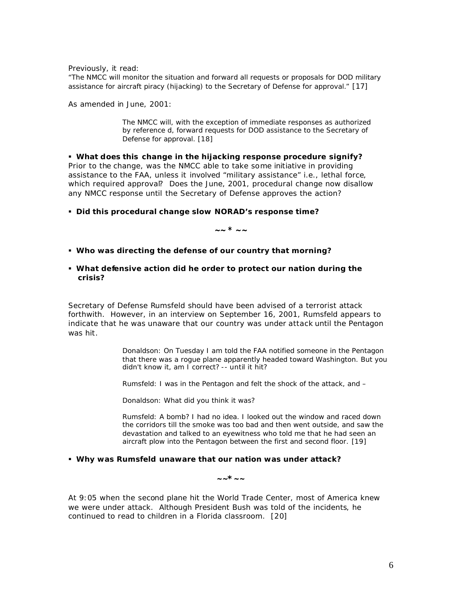Previously, it read:

"*The NMCC will monitor the situation and forward all requests or proposals for DOD military assistance for aircraft piracy (hijacking) to the Secretary of Defense for approval."* [17]

As amended in June, 2001:

*The NMCC will, with the exception of immediate responses as authorized by reference d, forward requests for DOD assistance to the Secretary of Defense for approval*. [18]

ß **What does this change in the hijacking response procedure signify?** Prior to the change, was the NMCC able to take some initiative in providing assistance to the FAA, unless it involved "military assistance" i.e., lethal force, which required approval? Does the June, 2001, procedural change now disallow any NMCC response until the Secretary of Defense approves the action?

**EDid this procedural change slow NORAD's response time?** 

**~~ \* ~~**

- ß **Who was directing the defense of our country that morning?**
- ß **What defensive action did he order to protect our nation during the crisis?**

Secretary of Defense Rumsfeld should have been advised of a terrorist attack forthwith. However, in an interview on September 16, 2001, Rumsfeld appears to indicate that he was unaware that our country was under attack until the Pentagon was hit.

> *Donaldson: On Tuesday I am told the FAA notified someone in the Pentagon that there was a rogue plane apparently headed toward Washington. But you didn't know it, am I correct? -- until it hit?*

*Rumsfeld: I was in the Pentagon and felt the shock of the attack, and –*

*Donaldson: What did you think it was?* 

*Rumsfeld: A bomb? I had no idea. I looked out the window and raced down the corridors till the smoke was too bad and then went outside, and saw the devastation and talked to an eyewitness who told me that he had seen an aircraft plow into the Pentagon between the first and second floor.* [19]

#### ß **Why was Rumsfeld unaware that our nation was under attack?**

**~~\*~~**

At 9:05 when the second plane hit the World Trade Center, most of America knew we were under attack. Although President Bush was told of the incidents, he continued to read to children in a Florida classroom. [20]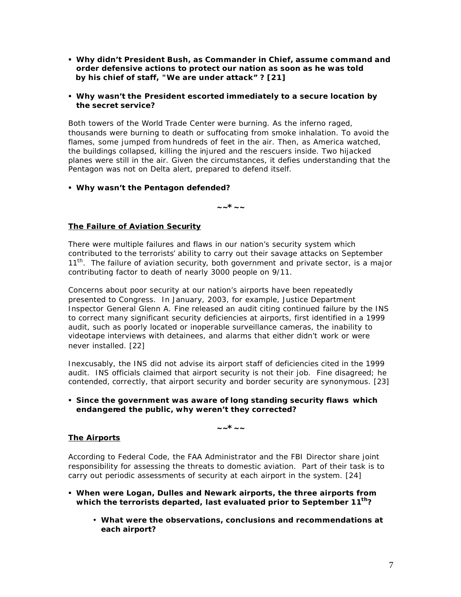- ß **Why didn't President Bush, as Commander in Chief, assume command and order defensive actions to protect our nation as soon as he was told by his chief of staff, "We are under attack" ? [21]**
- ß **Why wasn't the President escorted immediately to a secure location by the secret service?**

Both towers of the World Trade Center were burning. As the inferno raged, thousands were burning to death or suffocating from smoke inhalation. To avoid the flames, some jumped from hundreds of feet in the air. Then, as America watched, the buildings collapsed, killing the injured and the rescuers inside. Two hijacked planes were still in the air. Given the circumstances, it defies understanding that the Pentagon was not on Delta alert, prepared to defend itself.

# ß **Why wasn't the Pentagon defended?**

**~~\*~~**

# *The Failure of Aviation Security*

There were multiple failures and flaws in our nation's security system which contributed to the terrorists' ability to carry out their savage attacks on September 11<sup>th</sup>. The failure of aviation security, both government and private sector, is a major contributing factor to death of nearly 3000 people on 9/11.

Concerns about poor security at our nation's airports have been repeatedly presented to Congress. In January, 2003, for example, Justice Department Inspector General Glenn A. Fine released an audit citing continued failure by the INS to correct many significant security deficiencies at airports, first identified in a 1999 audit, such as poorly located or inoperable surveillance cameras, the inability to videotape interviews with detainees, and alarms that either didn't work or were never installed. [22]

Inexcusably, the INS did not advise its airport staff of deficiencies cited in the 1999 audit. INS officials claimed that airport security is not their job. Fine disagreed; he contended, correctly, that airport security and border security are synonymous. [23]

ß **Since the government was aware of long standing security flaws which endangered the public, why weren't they corrected?**

# **~~\*~~**

# *The Airports*

According to Federal Code, the FAA Administrator and the FBI Director share joint responsibility for assessing the threats to domestic aviation. Part of their task is to carry out periodic assessments of security at each airport in the system. [24]

- ß **When were Logan, Dulles and Newark airports, the three airports from which the terrorists departed, last evaluated prior to September 11th?**
	- **What were the observations, conclusions and recommendations at each airport?**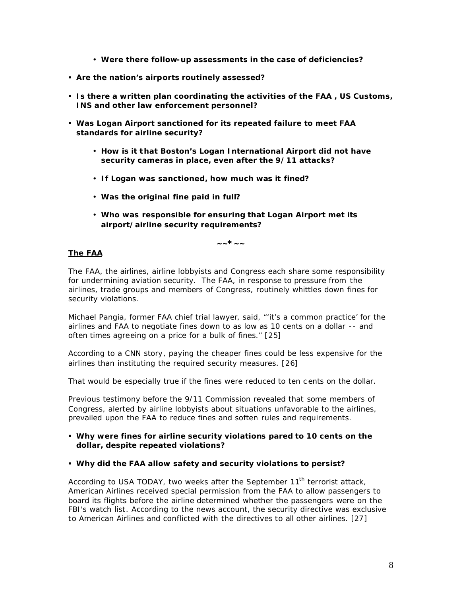- **Were there follow-up assessments in the case of deficiencies?**
- ß **Are the nation's airports routinely assessed?**
- ß **Is there a written plan coordinating the activities of the FAA , US Customs, INS and other law enforcement personnel?**
- ß **Was Logan Airport sanctioned for its repeated failure to meet FAA standards for airline security?** 
	- **How is it t hat Boston's Logan International Airport did not have security cameras in place, even after the 9/11 attacks?**
	- **If Logan was sanctioned, how much was it fined?**
	- **Was the original fine paid in full?**
	- **Who was responsible for ensuring that Logan Airport met its airport/airline security requirements?**

**~~\*~~**

# *The FAA*

The FAA, the airlines, airline lobbyists and Congress each share some responsibility for undermining aviation security. The FAA, in response to pressure from the airlines, trade groups and members of Congress, routinely whittles down fines for security violations.

Michael Pangia, former FAA chief trial lawyer, said, "'it's a common practice' for the airlines and FAA to negotiate fines down to as low as 10 cents on a dollar -- and often times agreeing on a price for a bulk of fines." [25]

According to a CNN story, paying the cheaper fines could be less expensive for the airlines than instituting the required security measures. [26]

That would be especially true if the fines were reduced to ten c ents on the dollar.

Previous testimony before the 9/11 Commission revealed that some members of Congress, alerted by airline lobbyists about situations unfavorable to the airlines, prevailed upon the FAA to reduce fines and soften rules and requirements.

# ß **Why were fines for airline security violations pared to 10 cents on the dollar, despite repeated violations?**

# ß **Why did the FAA allow safety and security violations to persist?**

According to USA TODAY, two weeks after the September 11<sup>th</sup> terrorist attack, American Airlines received special permission from the FAA to allow passengers to board its flights before the airline determined whether the passengers were on the FBI's watch list. According to the news account, the security directive was exclusive to American Airlines and conflicted with the directives to all other airlines. [27]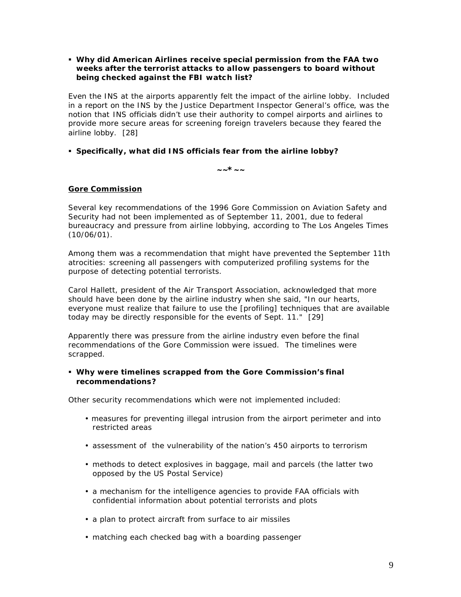# ß **Why did American Airlines receive special permission from the FAA** *two weeks after the terrorist attacks* **to allow passengers to board without being checked against the FBI watch list?**

Even the INS at the airports apparently felt the impact of the airline lobby. Included in a report on the INS by the Justice Department Inspector General's office, was the notion that INS officials didn't use their authority to compel airports and airlines to provide more secure areas for screening foreign travelers because they feared the airline lobby. [28]

# ß **Specifically, what did INS officials fear from the airline lobby?**

**~~\*~~**

# *Gore Commission*

Several key recommendations of the 1996 Gore Commission on Aviation Safety and Security had not been implemented as of September 11, 2001, due to federal bureaucracy and pressure from airline lobbying, according to *The Los Angeles Times*  $(10/06/01)$ .

Among them was a recommendation that might have prevented the September 11th atrocities: screening all passengers with computerized profiling systems for the purpose of detecting potential terrorists.

Carol Hallett, president of the Air Transport Association, acknowledged that more should have been done by the airline industry when she said, "In our hearts, everyone must realize that failure to use the [profiling] techniques that are available today may be directly responsible for the events of Sept. 11." [29]

Apparently there was pressure from the airline industry even before the final recommendations of the Gore Commission were issued. The timelines were scrapped.

# ß **Why were timelines scrapped from the Gore Commission's final recommendations?**

Other security recommendations which were *not* implemented included:

- measures for preventing illegal intrusion from the airport perimeter and into restricted areas
- assessment of the vulnerability of the nation's 450 airports to terrorism
- methods to detect explosives in baggage, mail and parcels (the latter two opposed by the US Postal Service)
- a mechanism for the intelligence agencies to provide FAA officials with confidential information about potential terrorists and plots
- a plan to protect aircraft from surface to air missiles
- matching each checked bag with a boarding passenger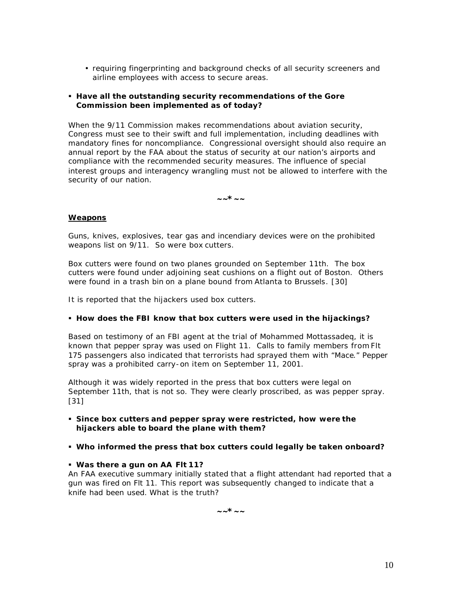• requiring fingerprinting and background checks of all security screeners and airline employees with access to secure areas.

# ß **Have all the outstanding security recommendations of the Gore Commission been implemented as of today?**

When the 9/11 Commission makes recommendations about aviation security, Congress must see to their swift and full implementation, including deadlines with mandatory fines for noncompliance. Congressional oversight should also require an annual report by the FAA about the status of security at our nation's airports and compliance with the recommended security measures. The influence of special interest groups and interagency wrangling must not be allowed to interfere with the security of our nation.

**~~\*~~**

# *Weapons*

Guns, knives, explosives, tear gas and incendiary devices were on the prohibited weapons list on 9/11. So were box cutters.

Box cutters were found on two planes grounded on September 11th. The box cutters were found under adjoining seat cushions on a flight out of Boston. Others were found in a trash bin on a plane bound from Atlanta to Brussels. [30]

It is reported that the hijackers used box cutters.

# ß **How does the FBI know that box cutters were used in the hijackings?**

Based on testimony of an FBI agent at the trial of Mohammed Mottassadeq, it is known that pepper spray was used on Flight 11. Calls to family members from Flt 175 passengers also indicated that terrorists had sprayed them with "Mace." Pepper spray was a prohibited carry-on item on September 11, 2001.

Although it was widely reported in the press that box cutters were legal on September 11th, that is not so. They were clearly proscribed, as was pepper spray. [31]

- ß **Since box cutters and pepper spray were restricted, how were the hijackers able to board the plane with them?**
- ß **Who informed the press that box cutters could legally be taken onboard?**

ß **Was there a gun on AA Flt 11?** 

An FAA executive summary initially stated that a flight attendant had reported that a gun was fired on Flt 11. This report was subsequently changed to indicate that a knife had been used. What is the truth?

**~~\*~~**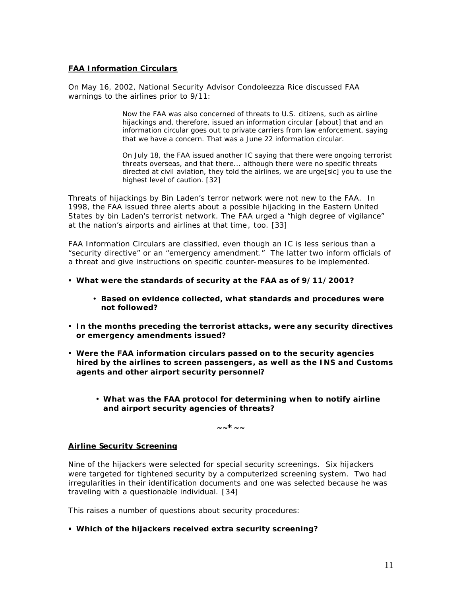# *FAA Information Circulars*

On May 16, 2002, National Security Advisor Condoleezza Rice discussed FAA warnings to the airlines prior to 9/11:

> *Now the FAA was also concerned of threats to U.S. citizens, such as airline hijackings and, therefore, issued an information circular [about] that and an information circular goes out to private carriers from law enforcement, saying that we have a concern. That was a June 22 information circular.*

*On July 18, the FAA issued another IC saying that there were ongoing terrorist threats overseas, and that there... although there were no specific threats directed at civil aviation, they told the airlines, we are urge*[sic] *you to use the highest level of caution.* [32]

Threats of hijackings by Bin Laden's terror network were not new to the FAA. In 1998, the FAA issued three alerts about a possible hijacking in the Eastern United States by bin Laden's terrorist network. The FAA urged a "high degree of vigilance" at the nation's airports and airlines at that time , too. [33]

FAA Information Circulars are classified, even though an IC is less serious than a "security directive" or an "emergency amendment." The latter two inform officials of a threat and give instructions on specific counter-measures to be implemented.

- ß **What were the standards of security at the FAA as of 9/11/2001?**
	- **Based on evidence collected, what standards and procedures were not followed?**
- ß **In the months preceding the terrorist attacks, were any security directives or emergency amendments issued?**
- ß **Were the FAA information circulars passed on to the security agencies hired by the airlines to screen passengers, as well as the INS and Customs agents and other airport security personnel?**
	- **What was the FAA protocol for determining when to notify airline and airport security agencies of threats?**

**~~\*~~**

# *Airline Security Screening*

Nine of the hijackers were selected for special security screenings. Six hijackers were targeted for tightened security by a computerized screening system. Two had irregularities in their identification documents and one was selected because he was traveling with a questionable individual. [34]

This raises a number of questions about security procedures:

ß **Which of the hijackers received extra security screening?**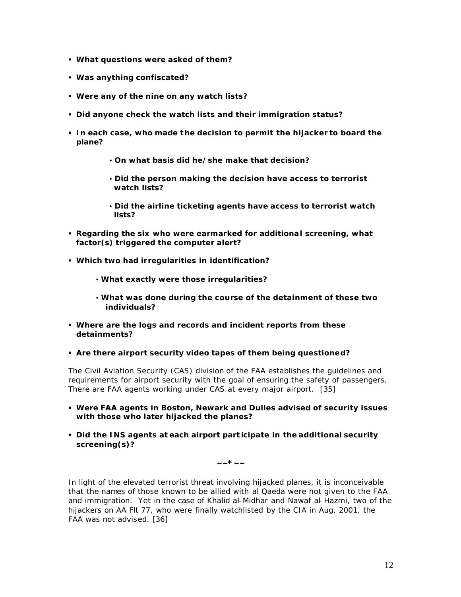- ß **What questions were asked of them?**
- ß **Was anything confiscated?**
- ß **Were any of the nine on any watch lists?**
- ß **Did anyone check the watch lists and their immigration status?**
- ß **In each case, who made t he decision to permit the hijacker to board the plane?**
	- **On what basis did he/she make that decision?**
	- **Did the person making the decision have access to terrorist watch lists?**
	- **Did the airline ticketing agents have access to terrorist watch lists?**
- ß **Regarding the six who were earmarked for additional screening, what factor(s) triggered the computer alert?**
- ß **Which two had irregularities in identification?**
	- **What exactly were those irregularities?**
	- **What was done during the course of the detainment of these two individuals?**
- ß **Where are the logs and records and incident reports from these detainments?**
- ß **Are there airport security video tapes of them being questioned?**

The Civil Aviation Security (CAS) division of the FAA establishes the guidelines and requirements for airport security with the goal of ensuring the safety of passengers. There are FAA agents working under CAS at every major airport. [35]

- ß **Were FAA agents in Boston, Newark and Dulles advised of security issues with those who later hijacked the planes?**
- ß **Did the INS agents at each airport part icipate in the additional security screening(s)?**

**~~\*~~**

In light of the elevated terrorist threat involving hijacked planes, it is inconceivable that the names of those known to be allied with *al Qaeda* were not given to the FAA and immigration. Yet in the case of Khalid al-Midhar and Nawaf al-Hazmi, two of the hijackers on AA Flt 77, who were finally watchlisted by the CIA in Aug, 2001, the FAA was not advised. [36]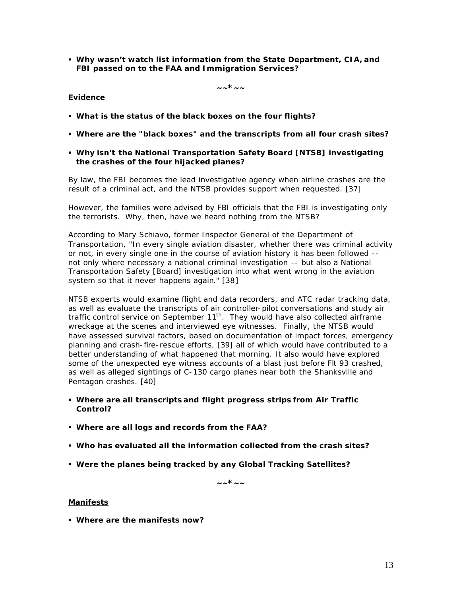ß **Why wasn't watch list information from the State Department, CIA, and FBI passed on to the FAA and Immigration Services?** 

**~~\*~~**

# *Evidence*

- ß **What is the status of the black boxes on the four flights?**
- ß **Where are the "black boxes" and the transcripts from all four crash sites?**
- ß **Why isn't the National Transportation Safety Board [NTSB] investigating the crashes of the four hijacked planes?**

By law, the FBI becomes the lead investigative agency when airline crashes are the result of a criminal act, and the NTSB provides support when requested. [37]

However, the families were advised by FBI officials that the FBI is investigating only the terrorists. Why, then, have we heard nothing from the NTSB?

According to Mary Schiavo, former Inspector General of the Department of Transportation, "In every single aviation disaster, whether there was criminal activity or not, in every single one in the course of aviation history it has been followed - not only where necessary a national criminal investigation -- but also a National Transportation Safety [Board] investigation into what went wrong in the aviation system so that it never happens again." [38]

NTSB experts would examine flight and data recorders, and ATC radar tracking data, as well as evaluate the transcripts of air controller-pilot conversations and study air traffic control service on September  $11^{th}$ . They would have also collected airframe wreckage at the scenes and interviewed eye witnesses. Finally, the NTSB would have assessed survival factors, based on documentation of impact forces, emergency planning and crash-fire-rescue efforts, [39] all of which would have contributed to a better understanding of what happened that morning. It also would have explored some of the unexpected eye witness accounts of a blast just before Flt 93 crashed, as well as alleged sightings of C-130 cargo planes near both the Shanksville and Pentagon crashes. [40]

- ß **Where are all transcripts and flight progress strips from Air Traffic Control?**
- ß **Where are all logs and records from the FAA?**
- ß **Who has evaluated all the information collected from the crash sites?**
- ß **Were the planes being tracked by any Global Tracking Satellites?**

**~~\*~~**

# *Manifests*

ß **Where are the manifests now?**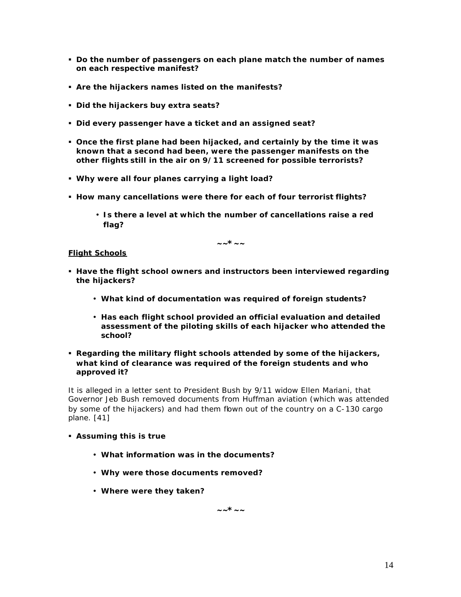- ß **Do the number of passengers on each plane match the number of names on each respective manifest?**
- ß **Are the hijackers names listed on the manifests?**
- ß **Did the hijackers buy extra seats?**
- ß **Did every passenger have a ticket and an assigned seat?**
- ß **Once the first plane had been hijacked, and certainly by the time it was known that a second had been, were the passenger manifests on the other flights still in the air on 9/11 screened for possible terrorists?**
- ß **Why were all four planes carrying a light load?**
- ß **How many cancellations were there for each of four terrorist flights?**
	- **Is there a level at which the number of cancellations raise a red flag?**

**~~\*~~**

# *Flight Schools*

- **Have the flight school owners and instructors been interviewed regarding the hijackers?**
	- **What kind of documentation was required of foreign students?**
	- **Has each flight school provided an official evaluation and detailed assessment of the piloting skills of each hijacker who attended the school?**
- ß **Regarding the military flight schools attended by some of the hijackers, what kind of clearance was required of the foreign students and who approved it?**

It is alleged in a letter sent to President Bush by 9/11 widow Ellen Mariani, that Governor Jeb Bush removed documents from Huffman aviation (which was attended by some of the hijackers) and had them flown out of the country on a C-130 cargo plane. [41]

- ß **Assuming this is true** 
	- **What information was in the documents?**
	- **Why were those documents removed?**
	- **Where were they taken?**

**~~\*~~**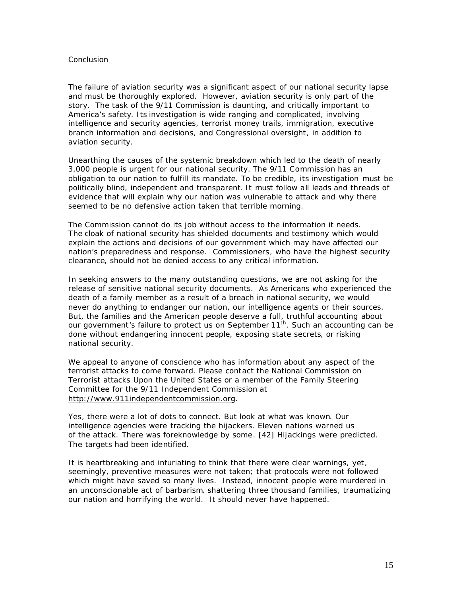# *Conclusion*

The failure of aviation security was a significant aspect of our national security lapse and must be thoroughly explored. However, aviation security is only part of the story. The task of the 9/11 Commission is daunting, and critically important to America's safety. Its investigation is wide ranging and complicated, involving intelligence and security agencies, terrorist money trails, immigration, executive branch information and decisions, and Congressional oversight, in addition to aviation security.

Unearthing the causes of the systemic breakdown which led to the death of nearly 3,000 people is urgent for our national security. The 9/11 Commission has an obligation to our nation to fulfill its mandate. To be credible, its investigation must be politically blind, independent and transparent. It must follow all leads and threads of evidence that will explain why our nation was vulnerable to attack and why there seemed to be no defensive action taken that terrible morning.

The Commission cannot do its job without access to the information it needs. The cloak of national security has shielded documents and testimony which would explain the actions and decisions of our government which may have affected our nation's preparedness and response. Commissioners, who have the highest security clearance, should not be denied access to any critical information.

In seeking answers to the many outstanding questions, we are not asking for the release of sensitive national security documents. As Americans who experienced the death of a family member as a result of a breach in national security, we would never do anything to endanger our nation, our intelligence agents or their sources. But, the families and the American people deserve a full, truthful accounting about our government's failure to protect us on September 11<sup>th</sup>. Such an accounting can be done without endangering innocent people, exposing state secrets, or risking national security.

We appeal to anyone of conscience who has information about any aspect of the terrorist attacks to come forward. Please contact the *National Commission on Terrorist attacks Upon the United States* or a member of the Family Steering Committee for the 9/11 Independent Commission at http://www.911independentcommission.org.

Yes, there were a lot of dots to connect. But look at what was known. Our intelligence agencies were tracking the hijackers. Eleven nations warned us of the attack. There was foreknowledge by some. [42] Hijackings were predicted. The targets had been identified.

It is heartbreaking and infuriating to think that there were clear warnings, yet, seemingly, preventive measures were not taken; that protocols were not followed which might have saved so many lives. Instead, innocent people were murdered in an unconscionable act of barbarism, shattering three thousand families, traumatizing our nation and horrifying the world. It should never have happened.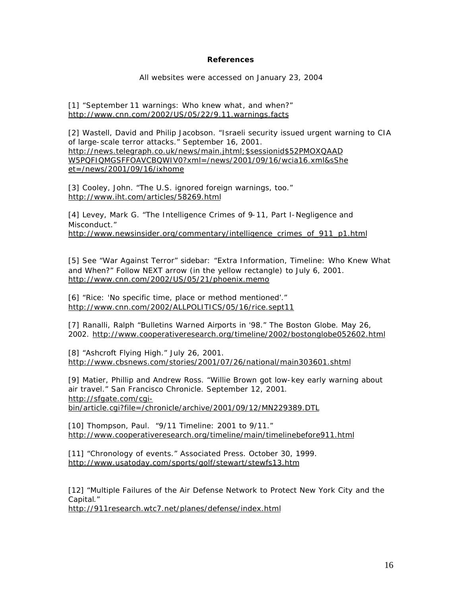#### **References**

All websites were accessed on January 23, 2004

[1] "September 11 warnings: Who knew what, and when?" *http://www.cnn.com/2002/US/05/22/9.11.warnings.facts*

[2] Wastell, David and Philip Jacobson. "Israeli security issued urgent warning to CIA of large-scale terror attacks." September 16, 2001. *http://news.telegraph.co.uk/news/main.jhtml;\$sessionid\$52PMOXQAAD W5PQFIQMGSFFOAVCBQWIV0?xml=/news/2001/09/16/wcia16.xml&sShe et=/news/2001/09/16/ixhome*

[3] Cooley, John. "The U.S. ignored foreign warnings, too." *http://www.iht.com/articles/58269.html*

[4] Levey, Mark G. "The Intelligence Crimes of 9-11, Part I-Negligence and Misconduct." *http://www.newsinsider.org/commentary/intelligence\_crimes\_of\_911\_p1.html*

[5] See "War Against Terror" sidebar: "Extra Information, Timeline: Who Knew What and When?" Follow NEXT arrow (in the yellow rectangle) to July 6, 2001. *http://www.cnn.com/2002/US/05/21/phoenix.memo*

[6] "Rice: 'No specific time, place or method mentioned'." *http://www.cnn.com/2002/ALLPOLITICS/05/16/rice.sept11*

[7] Ranalli, Ralph "Bulletins Warned Airports in '98." The Boston Globe. May 26, 2002. *http://www.cooperativeresearch.org/timeline/2002/bostonglobe052602.html*

[8] "Ashcroft Flying High." July 26, 2001. *http://www.cbsnews.com/stories/2001/07/26/national/main303601.shtml*

[9] Matier, Phillip and Andrew Ross. "Willie Brown got low-key early warning about air travel." San Francisco Chronicle. September 12, 2001. *http://sfgate.com/cgibin/article.cgi?file=/chronicle/archive/2001/09/12/MN229389.DTL*

[10] Thompson, Paul. "9/11 Timeline: 2001 to 9/11." *http://www.cooperativeresearch.org/timeline/main/timelinebefore911.html*

[11] "Chronology of events." Associated Press. October 30, 1999. *http://www.usatoday.com/sports/golf/stewart/stewfs13.htm*

[12] "Multiple Failures of the Air Defense Network to Protect New York City and the Capital." *http://911research.wtc7.net/planes/defense/index.html*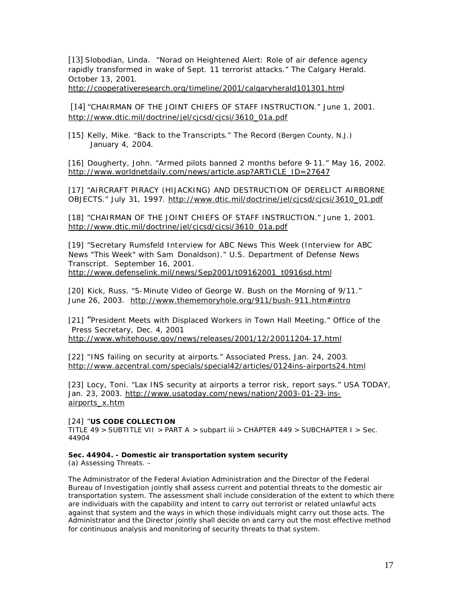[13] Slobodian, Linda. "Norad on Heightened Alert: Role of air defence agency rapidly transformed in wake of Sept. 11 terrorist attacks." The Calgary Herald. October 13, 2001.

*http://cooperativeresearch.org/timeline/2001/calgaryherald101301.html*

[14] "CHAIRMAN OF THE JOINT CHIEFS OF STAFF INSTRUCTION." June 1, 2001. *http://www.dtic.mil/doctrine/jel/cjcsd/cjcsi/3610\_01a.pdf*

[15] Kelly, Mike. "Back to the Transcripts." The Record (Bergen County, N.J.) January 4, 2004.

[16] Dougherty, John. "Armed pilots banned 2 months before 9-11." May 16, 2002. *http://www.worldnetdaily.com/news/article.asp?ARTICLE\_ID=27647*

[17] "AIRCRAFT PIRACY (HIJACKING) AND DESTRUCTION OF DERELICT AIRBORNE OBJECTS." July 31, 1997. *http://www.dtic.mil/doctrine/jel/cjcsd/cjcsi/3610\_01.pdf*

[18] "CHAIRMAN OF THE JOINT CHIEFS OF STAFF INSTRUCTION." June 1, 2001. *http://www.dtic.mil/doctrine/jel/cjcsd/cjcsi/3610\_01a.pdf*

[19] "Secretary Rumsfeld Interview for ABC News This Week (Interview for ABC News "This Week" with Sam Donaldson)." U.S. Department of Defense News Transcript. September 16, 2001. *http://www.defenselink.mil/news/Sep2001/t09162001\_t0916sd.html*

[20] Kick, Russ. "5-Minute Video of George W. Bush on the Morning of 9/11." June 26, 2003. *http://www.thememoryhole.org/911/bush-911.htm#intro* 

[21] "President Meets with Displaced Workers in Town Hall Meeting." Office of the Press Secretary, Dec. 4, 2001 http://www.whitehouse.gov/news/releases/2001/12/20011204-17.html

[22] "INS failing on security at airports." Associated Press, Jan. 24, 2003. *http://www.azcentral.com/specials/special42/articles/0124ins-airports24.html*

[23] Locy, Toni. "Lax INS security at airports a terror risk, report says." USA TODAY, Jan. 23, 2003. *http://www.usatoday.com/news/nation/2003-01-23-insairports\_x.htm*

[24] "**US CODE COLLECTION** 

TITLE 49 > SUBTITLE VII > PART A > subpart iii > CHAPTER 449 > SUBCHAPTER I > Sec. 44904

# **Sec. 44904. - Domestic air transportation system security**

(a) Assessing Threats. –

The Administrator of the Federal Aviation Administration and the Director of the Federal Bureau of Investigation jointly shall assess current and potential threats to the domestic air transportation system. The assessment shall include consideration of the extent to which there are individuals with the capability and intent to carry out terrorist or related unlawful acts against that system and the ways in which those individuals might carry out those acts. The Administrator and the Director jointly shall decide on and carry out the most effective method for continuous analysis and monitoring of security threats to that system.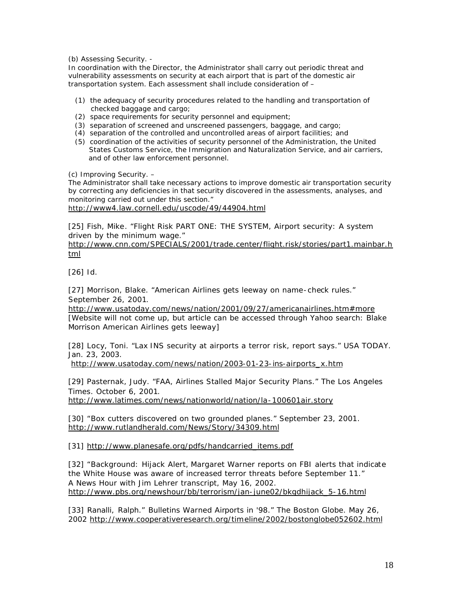(b) Assessing Security. -

In coordination with the Director, the Administrator shall carry out periodic threat and vulnerability assessments on security at each airport that is part of the domestic air transportation system. Each assessment shall include consideration of –

- (1) the adequacy of security procedures related to the handling and transportation of checked baggage and cargo;
- (2) space requirements for security personnel and equipment;
- (3) separation of screened and unscreened passengers, baggage, and cargo;
- (4) separation of the controlled and uncontrolled areas of airport facilities; and
- (5) coordination of the activities of security personnel of the Administration, the United States Customs Service, the Immigration and Naturalization Service, and air carriers, and of other law enforcement personnel.

(c) Improving Security. –

The Administrator shall take necessary actions to improve domestic air transportation security by correcting any deficiencies in that security discovered in the assessments, analyses, and monitoring carried out under this section." http*://www4.law.cornell.edu/uscode/49/44904.html*

[25] Fish, Mike. "Flight Risk PART ONE: THE SYSTEM, Airport security: A system driven by the minimum wage."

*http://www.cnn.com/SPECIALS/2001/trade.center/flight.risk/stories/part1.mainbar.h tml* 

[26] Id.

[27] Morrison, Blake. "American Airlines gets leeway on name-check rules." September 26, 2001.

*http://www.usatoday.com/news/nation/2001/09/27/americanairlines.htm#more* [Website will not come up, but article can be accessed through Yahoo search: Blake Morrison American Airlines gets leeway]

[28] Locy, Toni. "Lax INS security at airports a terror risk, report says." USA TODAY. Jan. 23, 2003.

*http://www.usatoday.com/news/nation/2003-01-23-ins-airports\_x.htm*

[29] Pasternak, Judy. "FAA, Airlines Stalled Major Security Plans." The Los Angeles Times. October 6, 2001.

*http://www.latimes.com/news/nationworld/nation/la-100601air.story*

[30] "Box cutters discovered on two grounded planes." September 23, 2001. *http://www.rutlandherald.com/News/Story/34309.html*

[31] *http://www.planesafe.org/pdfs/handcarried\_items.pdf*

[32] "Background: Hijack Alert, Margaret Warner reports on FBI alerts that indicate the White House was aware of increased terror threats before September 11." A News Hour with Jim Lehrer transcript, May 16, 2002. *http://www.pbs.org/newshour/bb/terrorism/jan-june02/bkgdhijack\_5-16.html*

[33] Ranalli, Ralph." Bulletins Warned Airports in '98." The Boston Globe. May 26, 2002 *http://www.cooperativeresearch.org/timeline/2002/bostonglobe052602.html*